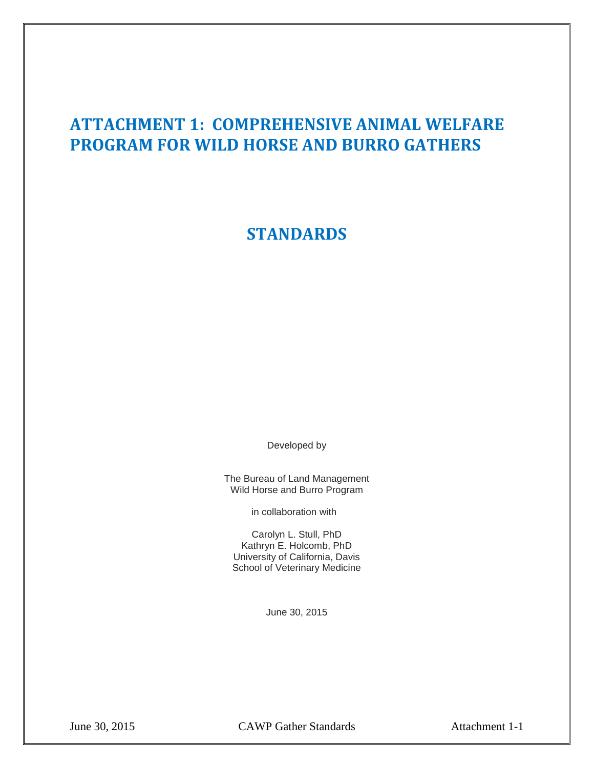# **ATTACHMENT 1: COMPREHENSIVE ANIMAL WELFARE PROGRAM FOR WILD HORSE AND BURRO GATHERS**

**STANDARDS** 

Developed by

The Bureau of Land Management Wild Horse and Burro Program

in collaboration with

 School of Veterinary Medicine Carolyn L. Stull, PhD Kathryn E. Holcomb, PhD University of California, Davis

June 30, 2015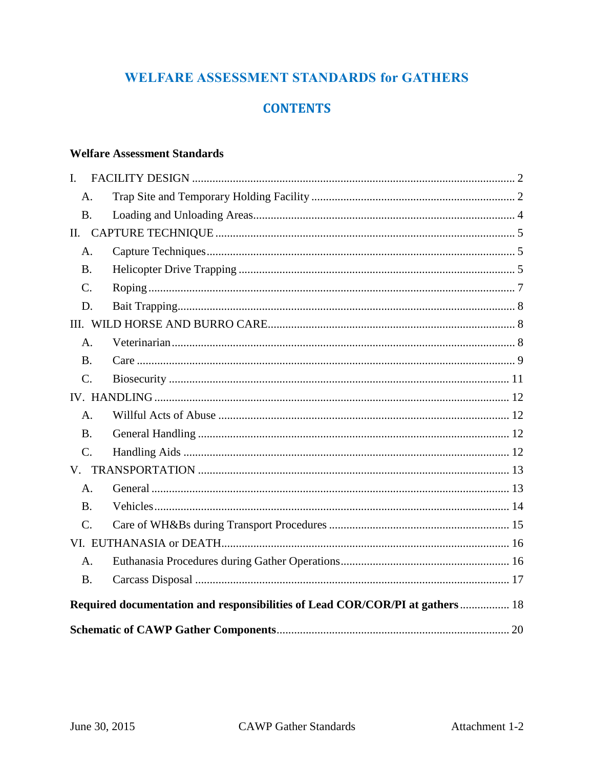## **WELFARE ASSESSMENT STANDARDS for GATHERS**

## **CONTENTS**

## **Welfare Assessment Standards**

| L.                                                                           |                 |  |  |
|------------------------------------------------------------------------------|-----------------|--|--|
|                                                                              | A.              |  |  |
|                                                                              | <b>B.</b>       |  |  |
| II.                                                                          |                 |  |  |
|                                                                              | A.              |  |  |
|                                                                              | <b>B.</b>       |  |  |
|                                                                              | $\mathcal{C}$ . |  |  |
|                                                                              | D.              |  |  |
|                                                                              |                 |  |  |
|                                                                              | A.              |  |  |
|                                                                              | <b>B.</b>       |  |  |
|                                                                              | $C_{\cdot}$     |  |  |
|                                                                              |                 |  |  |
|                                                                              | A.              |  |  |
|                                                                              | <b>B.</b>       |  |  |
|                                                                              | C.              |  |  |
|                                                                              |                 |  |  |
|                                                                              | A <sub>1</sub>  |  |  |
|                                                                              | <b>B.</b>       |  |  |
|                                                                              | $\mathcal{C}$ . |  |  |
|                                                                              |                 |  |  |
|                                                                              | A.              |  |  |
|                                                                              | <b>B.</b>       |  |  |
| Required documentation and responsibilities of Lead COR/COR/PI at gathers 18 |                 |  |  |
|                                                                              |                 |  |  |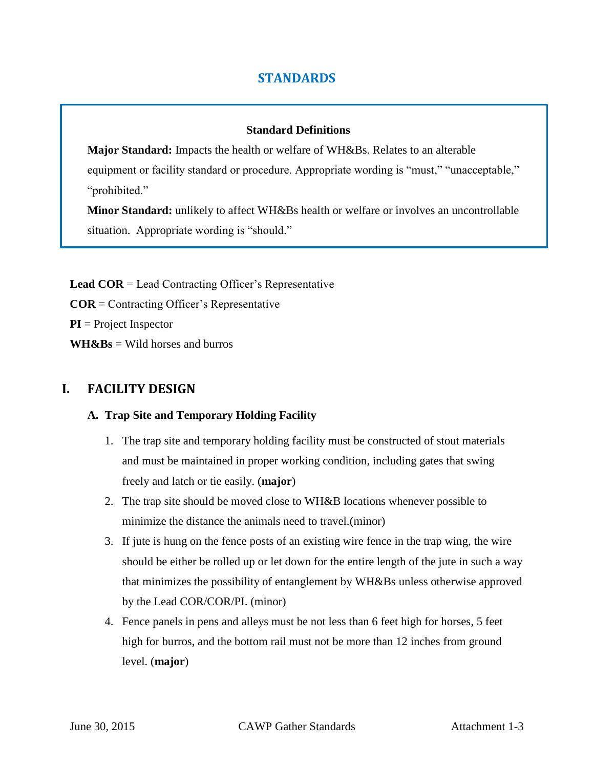## **STANDARDS**

#### **Standard Definitions**

**Major Standard:** Impacts the health or welfare of WH&Bs. Relates to an alterable equipment or facility standard or procedure. Appropriate wording is "must," "unacceptable," "prohibited."

**Minor Standard:** unlikely to affect WH&Bs health or welfare or involves an uncontrollable situation. Appropriate wording is "should."

 **COR** = Contracting Officer's Representative **PI** = Project Inspector **Lead COR** = Lead Contracting Officer's Representative  $WH\&Bs = Wild$  horses and burros

## **I. FACILITY DESIGN**

## **A. Trap Site and Temporary Holding Facility**

- 1. The trap site and temporary holding facility must be constructed of stout materials and must be maintained in proper working condition, including gates that swing freely and latch or tie easily. (**major**)
- 2. The trap site should be moved close to WH&B locations whenever possible to minimize the distance the animals need to travel.(minor)
- 3. If jute is hung on the fence posts of an existing wire fence in the trap wing, the wire should be either be rolled up or let down for the entire length of the jute in such a way that minimizes the possibility of entanglement by WH&Bs unless otherwise approved by the Lead COR/COR/PI. (minor)
- 4. Fence panels in pens and alleys must be not less than 6 feet high for horses, 5 feet high for burros, and the bottom rail must not be more than 12 inches from ground level. (**major**)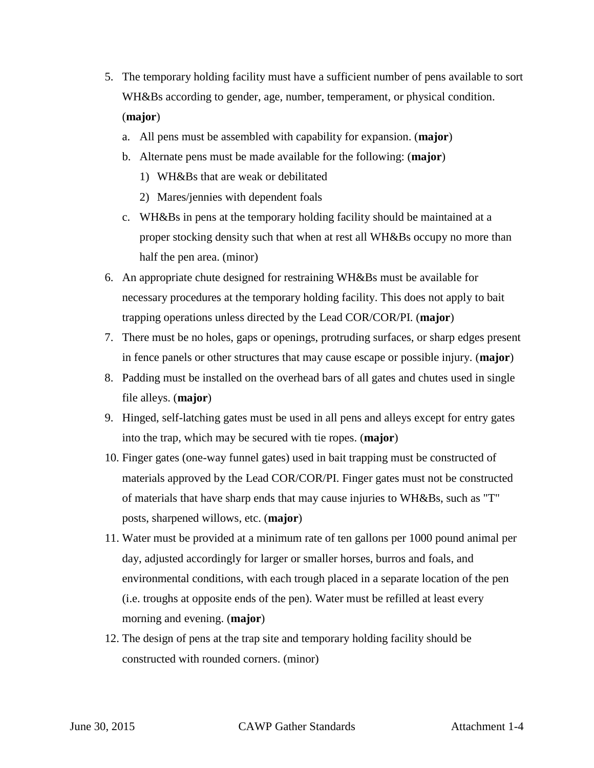- 5. The temporary holding facility must have a sufficient number of pens available to sort WH&Bs according to gender, age, number, temperament, or physical condition. (**major**)
	- a. All pens must be assembled with capability for expansion. (**major**)
	- b. Alternate pens must be made available for the following: (**major**)
		- 1) WH&Bs that are weak or debilitated
		- 2) Mares/jennies with dependent foals
	- c. WH&Bs in pens at the temporary holding facility should be maintained at a proper stocking density such that when at rest all WH&Bs occupy no more than half the pen area. (minor)
- 6. An appropriate chute designed for restraining WH&Bs must be available for trapping operations unless directed by the Lead COR/COR/PI. (**major**) necessary procedures at the temporary holding facility. This does not apply to bait
- 7. There must be no holes, gaps or openings, protruding surfaces, or sharp edges present in fence panels or other structures that may cause escape or possible injury. (**major**)
- 8. Padding must be installed on the overhead bars of all gates and chutes used in single file alleys. (**major**)
- 9. Hinged, self-latching gates must be used in all pens and alleys except for entry gates into the trap, which may be secured with tie ropes. (**major**)
- 10. Finger gates (one-way funnel gates) used in bait trapping must be constructed of materials approved by the Lead COR/COR/PI. Finger gates must not be constructed of materials that have sharp ends that may cause injuries to WH&Bs, such as "T" posts, sharpened willows, etc. (**major**)
- 11. Water must be provided at a minimum rate of ten gallons per 1000 pound animal per day, adjusted accordingly for larger or smaller horses, burros and foals, and environmental conditions, with each trough placed in a separate location of the pen (i.e. troughs at opposite ends of the pen). Water must be refilled at least every morning and evening. (**major**)
- 12. The design of pens at the trap site and temporary holding facility should be constructed with rounded corners. (minor)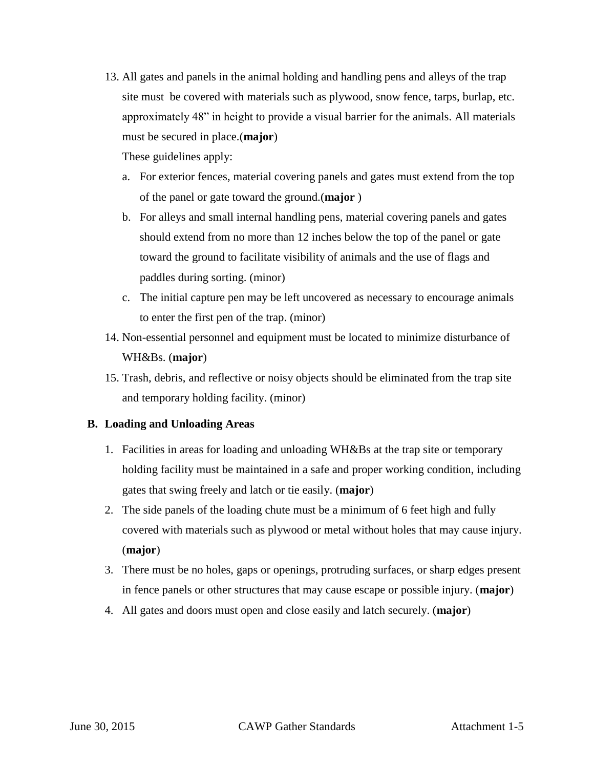site must be covered with materials such as plywood, snow fence, tarps, burlap, etc. 13. All gates and panels in the animal holding and handling pens and alleys of the trap approximately 48" in height to provide a visual barrier for the animals. All materials must be secured in place.(**major**)

These guidelines apply:

- a. For exterior fences, material covering panels and gates must extend from the top of the panel or gate toward the ground.(**major** )
- toward the ground to facilitate visibility of animals and the use of flags and b. For alleys and small internal handling pens, material covering panels and gates should extend from no more than 12 inches below the top of the panel or gate paddles during sorting. (minor)
- c. The initial capture pen may be left uncovered as necessary to encourage animals to enter the first pen of the trap. (minor)
- 14. Non-essential personnel and equipment must be located to minimize disturbance of WH&Bs. (**major**)
- 15. Trash, debris, and reflective or noisy objects should be eliminated from the trap site and temporary holding facility. (minor)

## **B. Loading and Unloading Areas**

- 1. Facilities in areas for loading and unloading WH&Bs at the trap site or temporary holding facility must be maintained in a safe and proper working condition, including gates that swing freely and latch or tie easily. (**major**)
- 2. The side panels of the loading chute must be a minimum of 6 feet high and fully covered with materials such as plywood or metal without holes that may cause injury. (**major**)
- 3. There must be no holes, gaps or openings, protruding surfaces, or sharp edges present in fence panels or other structures that may cause escape or possible injury. (**major**)
- 4. All gates and doors must open and close easily and latch securely. (**major**)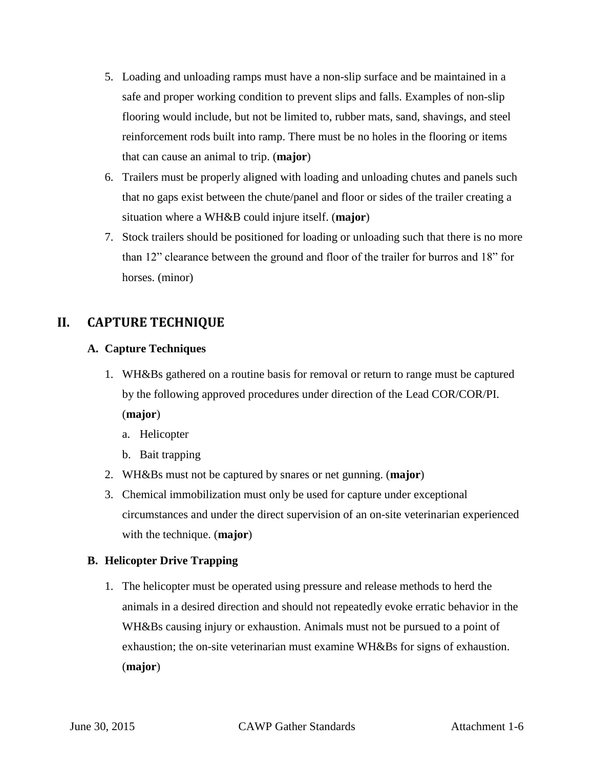- 5. Loading and unloading ramps must have a non-slip surface and be maintained in a safe and proper working condition to prevent slips and falls. Examples of non-slip flooring would include, but not be limited to, rubber mats, sand, shavings, and steel reinforcement rods built into ramp. There must be no holes in the flooring or items that can cause an animal to trip. (**major**)
- that no gaps exist between the chute/panel and floor or sides of the trailer creating a 6. Trailers must be properly aligned with loading and unloading chutes and panels such situation where a WH&B could injure itself. (**major**)
- 7. Stock trailers should be positioned for loading or unloading such that there is no more than 12" clearance between the ground and floor of the trailer for burros and 18" for horses. (minor)

## **II. CAPTURE TECHNIQUE**

## **A. Capture Techniques**

1. WH&Bs gathered on a routine basis for removal or return to range must be captured by the following approved procedures under direction of the Lead COR/COR/PI. (**major**)

a. Helicopter

- b. Bait trapping
- 2. WH&Bs must not be captured by snares or net gunning. (**major**)
- 3. Chemical immobilization must only be used for capture under exceptional circumstances and under the direct supervision of an on-site veterinarian experienced with the technique. (**major**)

## **B. Helicopter Drive Trapping**

 1. The helicopter must be operated using pressure and release methods to herd the animals in a desired direction and should not repeatedly evoke erratic behavior in the WH&Bs causing injury or exhaustion. Animals must not be pursued to a point of exhaustion; the on-site veterinarian must examine WH&Bs for signs of exhaustion. (**major**)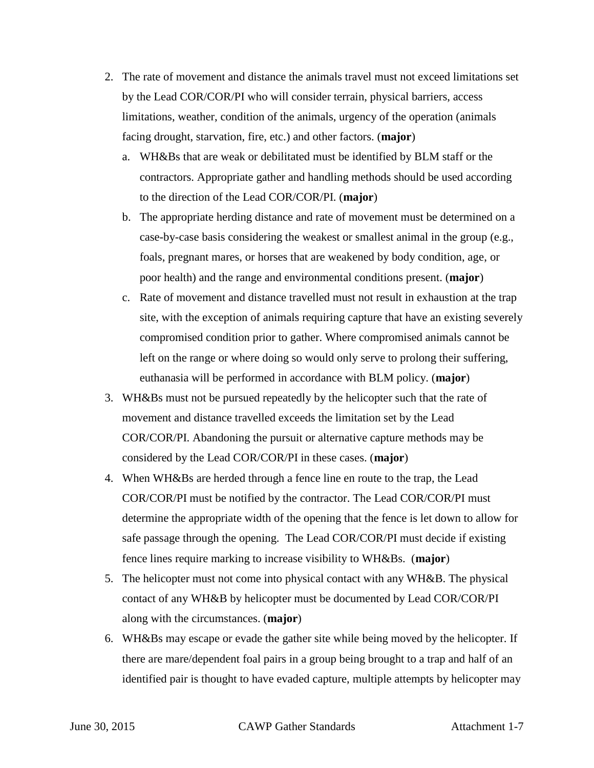- 2. The rate of movement and distance the animals travel must not exceed limitations set by the Lead COR/COR/PI who will consider terrain, physical barriers, access limitations, weather, condition of the animals, urgency of the operation (animals facing drought, starvation, fire, etc.) and other factors. (**major**)
	- a. WH&Bs that are weak or debilitated must be identified by BLM staff or the contractors. Appropriate gather and handling methods should be used according to the direction of the Lead COR/COR/PI. (**major**)
	- foals, pregnant mares, or horses that are weakened by body condition, age, or b. The appropriate herding distance and rate of movement must be determined on a case-by-case basis considering the weakest or smallest animal in the group (e.g., poor health) and the range and environmental conditions present. (**major**)
	- site, with the exception of animals requiring capture that have an existing severely c. Rate of movement and distance travelled must not result in exhaustion at the trap compromised condition prior to gather. Where compromised animals cannot be left on the range or where doing so would only serve to prolong their suffering, euthanasia will be performed in accordance with BLM policy. (**major**)
- COR/COR/PI. Abandoning the pursuit or alternative capture methods may be 3. WH&Bs must not be pursued repeatedly by the helicopter such that the rate of movement and distance travelled exceeds the limitation set by the Lead considered by the Lead COR/COR/PI in these cases. (**major**)
- COR/COR/PI must be notified by the contractor. The Lead COR/COR/PI must safe passage through the opening. The Lead COR/COR/PI must decide if existing 4. When WH&Bs are herded through a fence line en route to the trap, the Lead determine the appropriate width of the opening that the fence is let down to allow for fence lines require marking to increase visibility to WH&Bs. (**major**)
- 5. The helicopter must not come into physical contact with any WH&B. The physical contact of any WH&B by helicopter must be documented by Lead COR/COR/PI along with the circumstances. (**major**)
- 6. WH&Bs may escape or evade the gather site while being moved by the helicopter. If there are mare/dependent foal pairs in a group being brought to a trap and half of an identified pair is thought to have evaded capture, multiple attempts by helicopter may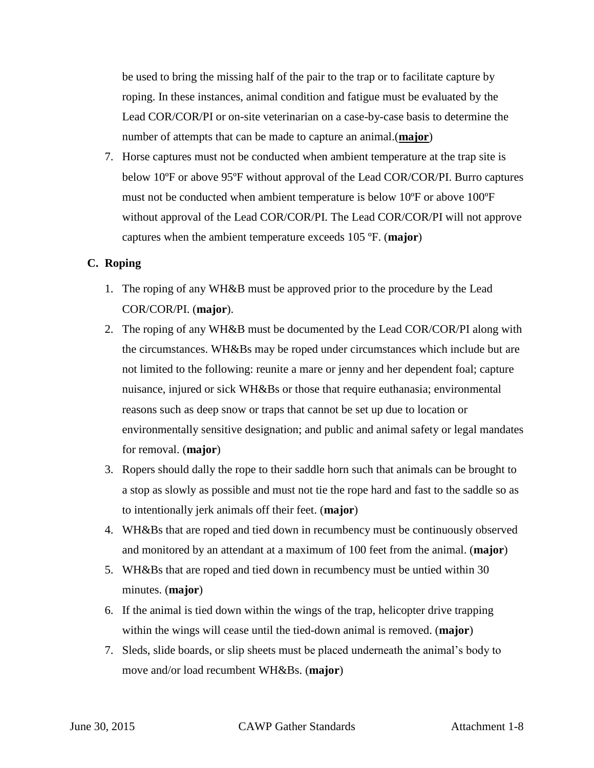be used to bring the missing half of the pair to the trap or to facilitate capture by roping. In these instances, animal condition and fatigue must be evaluated by the Lead COR/COR/PI or on-site veterinarian on a case-by-case basis to determine the number of attempts that can be made to capture an animal.(**major**)

 without approval of the Lead COR/COR/PI. The Lead COR/COR/PI will not approve captures when the ambient temperature exceeds 105 ºF. (**major**) 7. Horse captures must not be conducted when ambient temperature at the trap site is below 10ºF or above 95ºF without approval of the Lead COR/COR/PI. Burro captures must not be conducted when ambient temperature is below 10ºF or above 100ºF

#### **C. Roping**

- 1. The roping of any WH&B must be approved prior to the procedure by the Lead COR/COR/PI. (**major**).
- 2. The roping of any WH&B must be documented by the Lead COR/COR/PI along with the circumstances. WH&Bs may be roped under circumstances which include but are not limited to the following: reunite a mare or jenny and her dependent foal; capture nuisance, injured or sick WH&Bs or those that require euthanasia; environmental reasons such as deep snow or traps that cannot be set up due to location or environmentally sensitive designation; and public and animal safety or legal mandates for removal. (**major**)
- a stop as slowly as possible and must not tie the rope hard and fast to the saddle so as 3. Ropers should dally the rope to their saddle horn such that animals can be brought to to intentionally jerk animals off their feet. (**major**)
- 4. WH&Bs that are roped and tied down in recumbency must be continuously observed and monitored by an attendant at a maximum of 100 feet from the animal. (**major**)
- 5. WH&Bs that are roped and tied down in recumbency must be untied within 30 minutes. (**major**)
- 6. If the animal is tied down within the wings of the trap, helicopter drive trapping within the wings will cease until the tied-down animal is removed. (**major**)
- move and/or load recumbent WH&Bs. (**major**) 7. Sleds, slide boards, or slip sheets must be placed underneath the animal's body to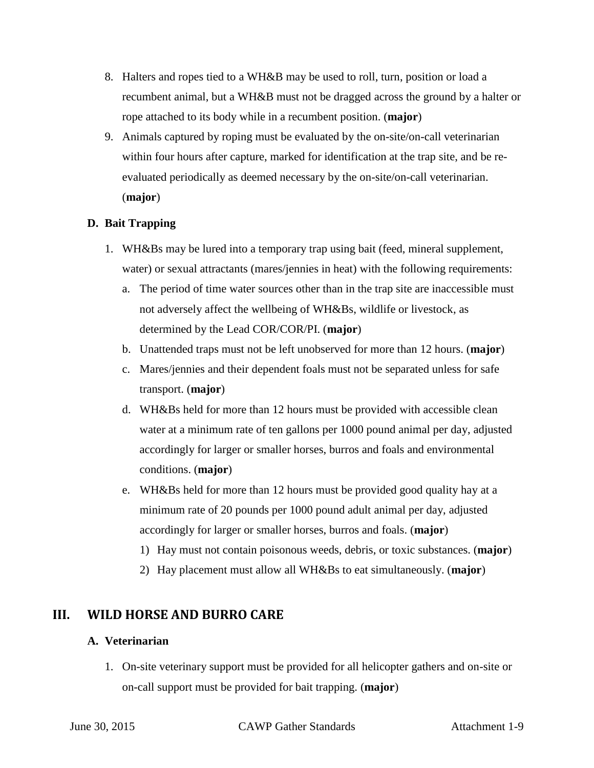- recumbent animal, but a WH&B must not be dragged across the ground by a halter or 8. Halters and ropes tied to a WH&B may be used to roll, turn, position or load a rope attached to its body while in a recumbent position. (**major**)
- evaluated periodically as deemed necessary by the on-site/on-call veterinarian. 9. Animals captured by roping must be evaluated by the on-site/on-call veterinarian within four hours after capture, marked for identification at the trap site, and be re-(**major**)

## **D. Bait Trapping**

- 1. WH&Bs may be lured into a temporary trap using bait (feed, mineral supplement, water) or sexual attractants (mares/jennies in heat) with the following requirements:
	- a. The period of time water sources other than in the trap site are inaccessible must not adversely affect the wellbeing of WH&Bs, wildlife or livestock, as determined by the Lead COR/COR/PI. (**major**)
	- b. Unattended traps must not be left unobserved for more than 12 hours. (**major**)
	- c. Mares/jennies and their dependent foals must not be separated unless for safe transport. (**major**)
	- d. WH&Bs held for more than 12 hours must be provided with accessible clean water at a minimum rate of ten gallons per 1000 pound animal per day, adjusted accordingly for larger or smaller horses, burros and foals and environmental conditions. (**major**)
	- e. WH&Bs held for more than 12 hours must be provided good quality hay at a minimum rate of 20 pounds per 1000 pound adult animal per day, adjusted accordingly for larger or smaller horses, burros and foals. (**major**)
		- 1) Hay must not contain poisonous weeds, debris, or toxic substances. (**major**)
		- 2) Hay placement must allow all WH&Bs to eat simultaneously. (**major**)

## **III. WILD HORSE AND BURRO CARE**

## **A. Veterinarian**

 on-call support must be provided for bait trapping. (**major**) 1. On-site veterinary support must be provided for all helicopter gathers and on-site or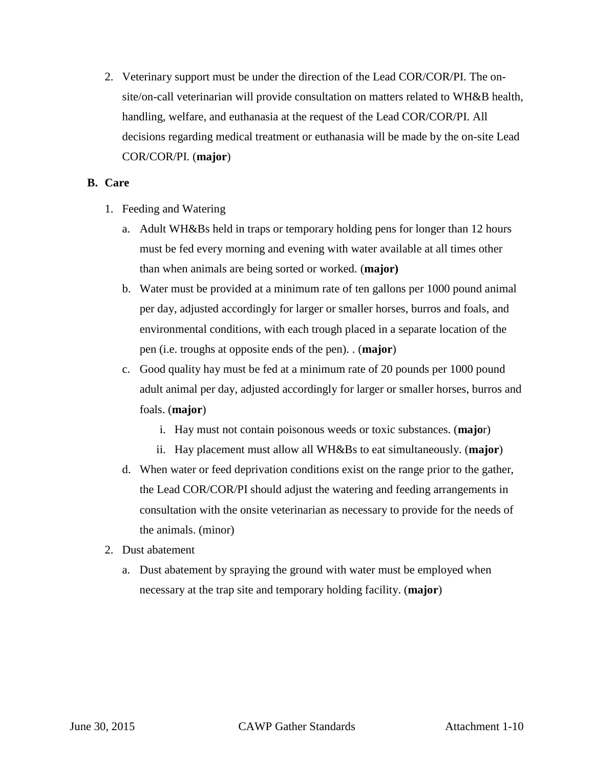2. Veterinary support must be under the direction of the Lead COR/COR/PI. The onsite/on-call veterinarian will provide consultation on matters related to WH&B health, handling, welfare, and euthanasia at the request of the Lead COR/COR/PI. All decisions regarding medical treatment or euthanasia will be made by the on-site Lead COR/COR/PI. (**major**)

#### **B. Care**

- 1. Feeding and Watering
	- a. Adult WH&Bs held in traps or temporary holding pens for longer than 12 hours must be fed every morning and evening with water available at all times other than when animals are being sorted or worked. (**major)**
	- b. Water must be provided at a minimum rate of ten gallons per 1000 pound animal per day, adjusted accordingly for larger or smaller horses, burros and foals, and environmental conditions, with each trough placed in a separate location of the pen (i.e. troughs at opposite ends of the pen). . (**major**)
	- c. Good quality hay must be fed at a minimum rate of 20 pounds per 1000 pound adult animal per day, adjusted accordingly for larger or smaller horses, burros and foals. (**major**)
		- i. Hay must not contain poisonous weeds or toxic substances. (**majo**r)
		- ii. Hay placement must allow all WH&Bs to eat simultaneously. (**major**)
	- d. When water or feed deprivation conditions exist on the range prior to the gather, the Lead COR/COR/PI should adjust the watering and feeding arrangements in consultation with the onsite veterinarian as necessary to provide for the needs of the animals. (minor)
- 2. Dust abatement
	- a. Dust abatement by spraying the ground with water must be employed when necessary at the trap site and temporary holding facility. (**major**)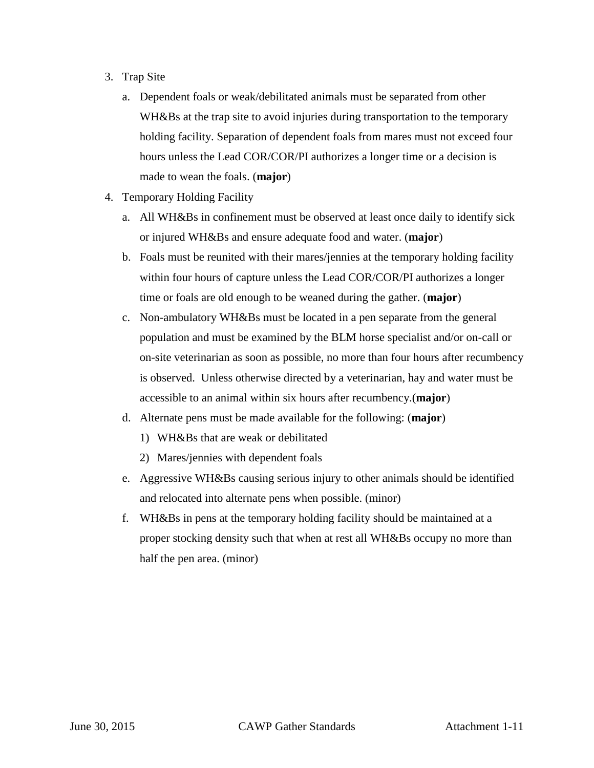- 3. Trap Site
	- a. Dependent foals or weak/debilitated animals must be separated from other holding facility. Separation of dependent foals from mares must not exceed four made to wean the foals. (**major**) WH&Bs at the trap site to avoid injuries during transportation to the temporary hours unless the Lead COR/COR/PI authorizes a longer time or a decision is
- 4. Temporary Holding Facility
	- a. All WH&Bs in confinement must be observed at least once daily to identify sick or injured WH&Bs and ensure adequate food and water. (**major**)
	- b. Foals must be reunited with their mares/jennies at the temporary holding facility time or foals are old enough to be weaned during the gather. (**major**) within four hours of capture unless the Lead COR/COR/PI authorizes a longer
	- c. Non-ambulatory WH&Bs must be located in a pen separate from the general population and must be examined by the BLM horse specialist and/or on-call or on-site veterinarian as soon as possible, no more than four hours after recumbency is observed. Unless otherwise directed by a veterinarian, hay and water must be accessible to an animal within six hours after recumbency.(**major**)
	- d. Alternate pens must be made available for the following: (**major**)
		- 1) WH&Bs that are weak or debilitated
		- 2) Mares/jennies with dependent foals
	- e. Aggressive WH&Bs causing serious injury to other animals should be identified and relocated into alternate pens when possible. (minor)
	- f. WH&Bs in pens at the temporary holding facility should be maintained at a proper stocking density such that when at rest all WH&Bs occupy no more than half the pen area. (minor)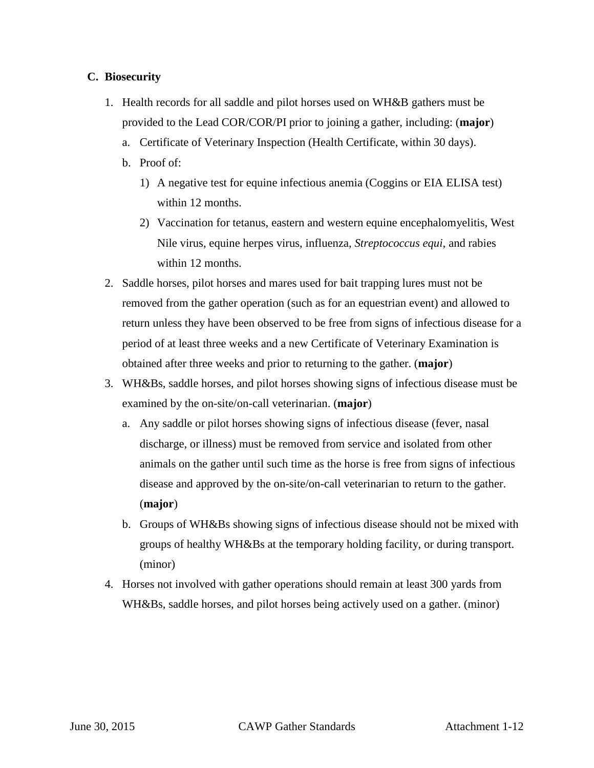#### **C. Biosecurity**

- provided to the Lead COR/COR/PI prior to joining a gather, including: (**major**) 1. Health records for all saddle and pilot horses used on WH&B gathers must be
	- a. Certificate of Veterinary Inspection (Health Certificate, within 30 days).
	- b. Proof of:
		- 1) A negative test for equine infectious anemia (Coggins or EIA ELISA test) within 12 months.
		- Nile virus, equine herpes virus, influenza, *Streptococcus equi*, and rabies 2) Vaccination for tetanus, eastern and western equine encephalomyelitis, West within 12 months.
- 2. Saddle horses, pilot horses and mares used for bait trapping lures must not be return unless they have been observed to be free from signs of infectious disease for a obtained after three weeks and prior to returning to the gather. (**major**) removed from the gather operation (such as for an equestrian event) and allowed to period of at least three weeks and a new Certificate of Veterinary Examination is
- 3. WH&Bs, saddle horses, and pilot horses showing signs of infectious disease must be examined by the on-site/on-call veterinarian. (**major**)
	- animals on the gather until such time as the horse is free from signs of infectious a. Any saddle or pilot horses showing signs of infectious disease (fever, nasal discharge, or illness) must be removed from service and isolated from other disease and approved by the on-site/on-call veterinarian to return to the gather. (**major**)
	- b. Groups of WH&Bs showing signs of infectious disease should not be mixed with groups of healthy WH&Bs at the temporary holding facility, or during transport. (minor)
- WH&Bs, saddle horses, and pilot horses being actively used on a gather. (minor) 4. Horses not involved with gather operations should remain at least 300 yards from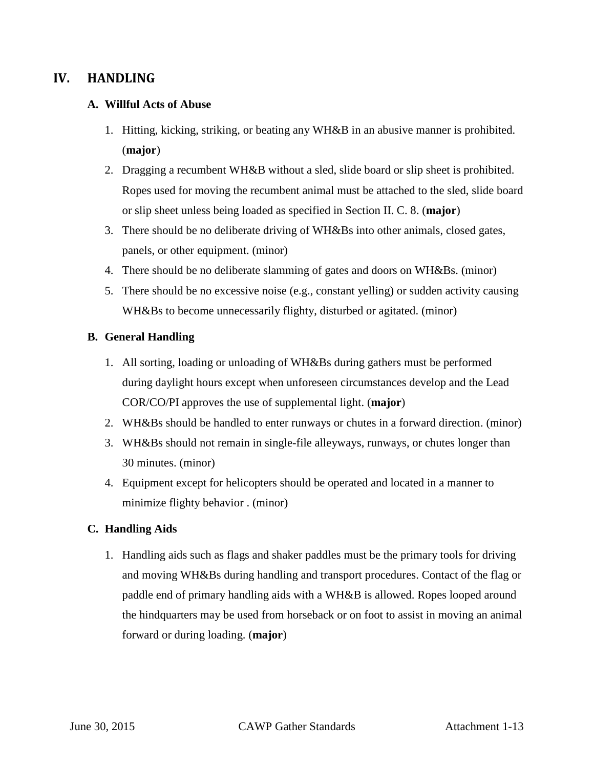## **IV. HANDLING**

#### **A. Willful Acts of Abuse**

- 1. Hitting, kicking, striking, or beating any WH&B in an abusive manner is prohibited. (**major**)
- 2. Dragging a recumbent WH&B without a sled, slide board or slip sheet is prohibited. or slip sheet unless being loaded as specified in Section II. C. 8. (**major**) Ropes used for moving the recumbent animal must be attached to the sled, slide board
- 3. There should be no deliberate driving of WH&Bs into other animals, closed gates, panels, or other equipment. (minor)
- 4. There should be no deliberate slamming of gates and doors on WH&Bs. (minor)
- 5. There should be no excessive noise (e.g., constant yelling) or sudden activity causing WH&Bs to become unnecessarily flighty, disturbed or agitated. (minor)

#### **B. General Handling**

- 1. All sorting, loading or unloading of WH&Bs during gathers must be performed COR/CO/PI approves the use of supplemental light. (**major**) during daylight hours except when unforeseen circumstances develop and the Lead
- 2. WH&Bs should be handled to enter runways or chutes in a forward direction. (minor)
- 3. WH&Bs should not remain in single-file alleyways, runways, or chutes longer than 30 minutes. (minor)
- minimize flighty behavior . (minor) 4. Equipment except for helicopters should be operated and located in a manner to

## **C. Handling Aids**

 1. Handling aids such as flags and shaker paddles must be the primary tools for driving and moving WH&Bs during handling and transport procedures. Contact of the flag or paddle end of primary handling aids with a WH&B is allowed. Ropes looped around the hindquarters may be used from horseback or on foot to assist in moving an animal forward or during loading. (**major**)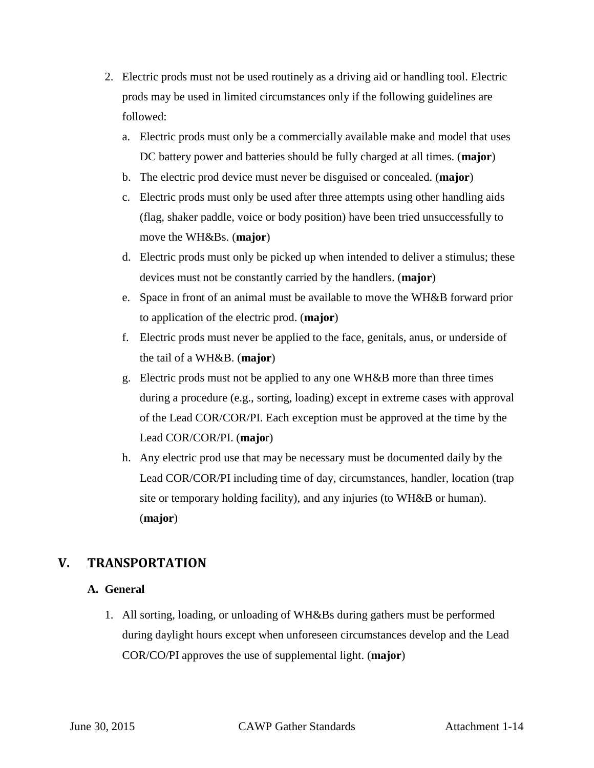- 2. Electric prods must not be used routinely as a driving aid or handling tool. Electric prods may be used in limited circumstances only if the following guidelines are followed:
	- a. Electric prods must only be a commercially available make and model that uses DC battery power and batteries should be fully charged at all times. (**major**)
	- b. The electric prod device must never be disguised or concealed. (**major**)
	- c. Electric prods must only be used after three attempts using other handling aids (flag, shaker paddle, voice or body position) have been tried unsuccessfully to move the WH&Bs. (**major**)
	- devices must not be constantly carried by the handlers. (**major**) d. Electric prods must only be picked up when intended to deliver a stimulus; these
	- e. Space in front of an animal must be available to move the WH&B forward prior to application of the electric prod. (**major**)
	- the tail of a WH&B. (**major**) f. Electric prods must never be applied to the face, genitals, anus, or underside of
	- g. Electric prods must not be applied to any one WH&B more than three times during a procedure (e.g., sorting, loading) except in extreme cases with approval of the Lead COR/COR/PI. Each exception must be approved at the time by the Lead COR/COR/PI. (**majo**r)
	- h. Any electric prod use that may be necessary must be documented daily by the Lead COR/COR/PI including time of day, circumstances, handler, location (trap site or temporary holding facility), and any injuries (to WH&B or human). (**major**)

## **V. TRANSPORTATION**

## **A. General**

 1. All sorting, loading, or unloading of WH&Bs during gathers must be performed COR/CO/PI approves the use of supplemental light. (**major**) during daylight hours except when unforeseen circumstances develop and the Lead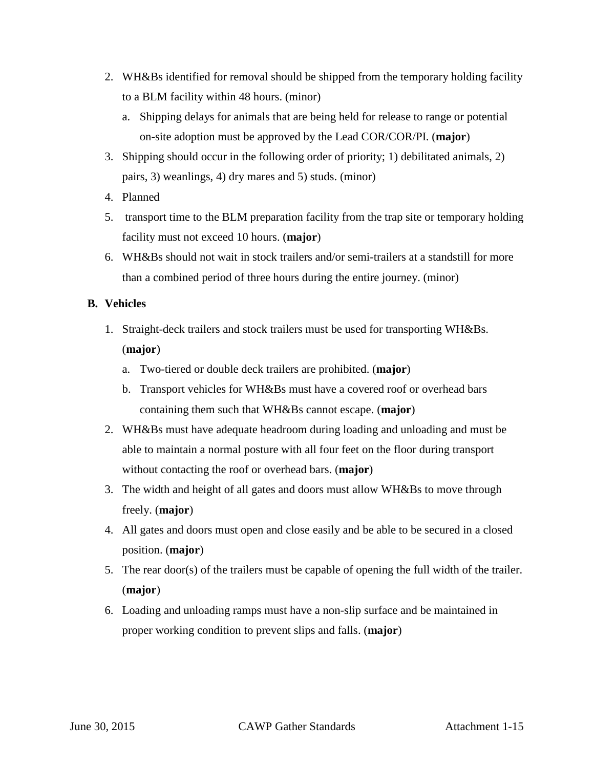- 2. WH&Bs identified for removal should be shipped from the temporary holding facility to a BLM facility within 48 hours. (minor)
	- on-site adoption must be approved by the Lead COR/COR/PI. (**major**) a. Shipping delays for animals that are being held for release to range or potential
- 3. Shipping should occur in the following order of priority; 1) debilitated animals, 2) pairs, 3) weanlings, 4) dry mares and 5) studs. (minor)
- 4. Planned
- 5. transport time to the BLM preparation facility from the trap site or temporary holding facility must not exceed 10 hours. (**major**)
- 6. WH&Bs should not wait in stock trailers and/or semi-trailers at a standstill for more than a combined period of three hours during the entire journey. (minor)

## **B. Vehicles**

- 1. Straight-deck trailers and stock trailers must be used for transporting WH&Bs. (**major**)
	- a. Two-tiered or double deck trailers are prohibited. (**major**)
	- b. Transport vehicles for WH&Bs must have a covered roof or overhead bars containing them such that WH&Bs cannot escape. (**major**)
- 2. WH&Bs must have adequate headroom during loading and unloading and must be able to maintain a normal posture with all four feet on the floor during transport without contacting the roof or overhead bars. (**major**)
- freely. (**major**) 3. The width and height of all gates and doors must allow WH&Bs to move through
- 4. All gates and doors must open and close easily and be able to be secured in a closed position. (**major**)
- 5. The rear door(s) of the trailers must be capable of opening the full width of the trailer. (**major**)
- proper working condition to prevent slips and falls. (**major**) 6. Loading and unloading ramps must have a non-slip surface and be maintained in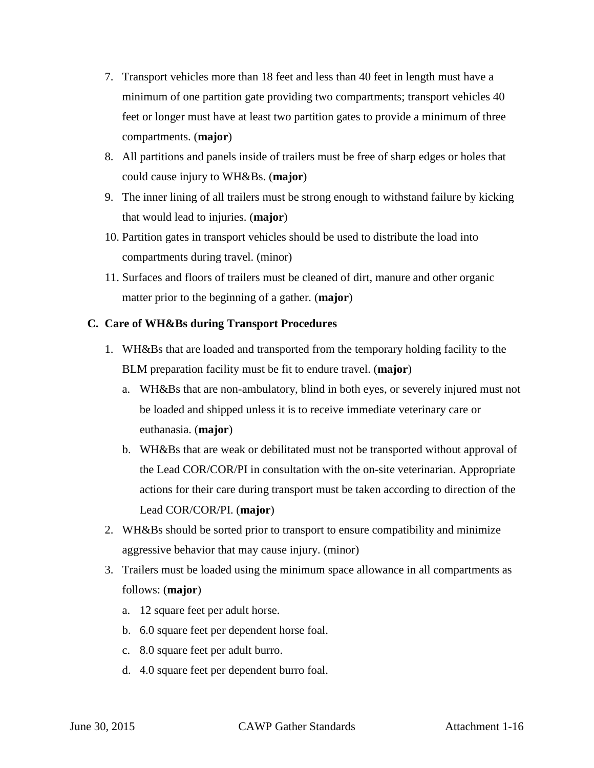- 7. Transport vehicles more than 18 feet and less than 40 feet in length must have a feet or longer must have at least two partition gates to provide a minimum of three compartments. (**major**) minimum of one partition gate providing two compartments; transport vehicles 40
- could cause injury to WH&Bs. (**major**) 8. All partitions and panels inside of trailers must be free of sharp edges or holes that
- 9. The inner lining of all trailers must be strong enough to withstand failure by kicking that would lead to injuries. (**major**)
- 10. Partition gates in transport vehicles should be used to distribute the load into compartments during travel. (minor)
- matter prior to the beginning of a gather. (**major**) 11. Surfaces and floors of trailers must be cleaned of dirt, manure and other organic

## **C. Care of WH&Bs during Transport Procedures**

- 1. WH&Bs that are loaded and transported from the temporary holding facility to the BLM preparation facility must be fit to endure travel. (**major**)
	- be loaded and shipped unless it is to receive immediate veterinary care or euthanasia. (**major**) a. WH&Bs that are non-ambulatory, blind in both eyes, or severely injured must not
	- b. WH&Bs that are weak or debilitated must not be transported without approval of Lead COR/COR/PI. (**major**) the Lead COR/COR/PI in consultation with the on-site veterinarian. Appropriate actions for their care during transport must be taken according to direction of the
- 2. WH&Bs should be sorted prior to transport to ensure compatibility and minimize aggressive behavior that may cause injury. (minor)
- 3. Trailers must be loaded using the minimum space allowance in all compartments as follows: (**major**)
	- a. 12 square feet per adult horse.
	- b. 6.0 square feet per dependent horse foal.
	- c. 8.0 square feet per adult burro.
	- d. 4.0 square feet per dependent burro foal.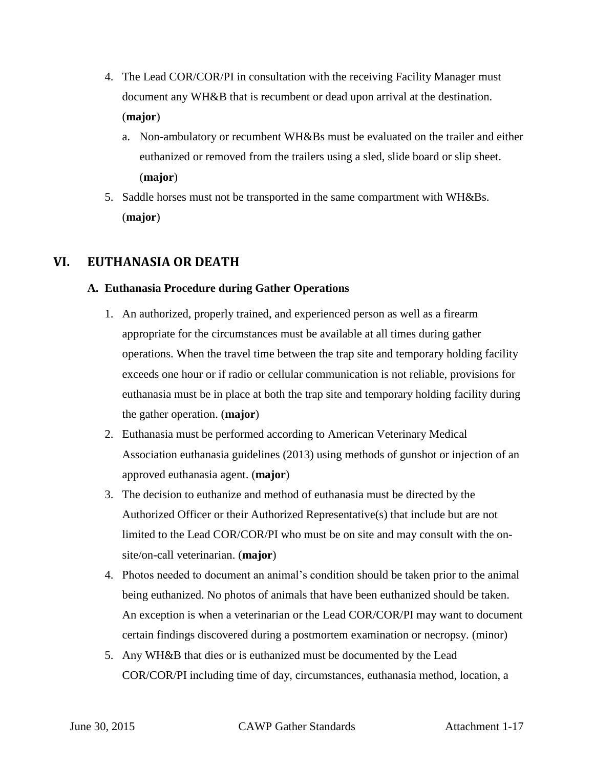- 4. The Lead COR/COR/PI in consultation with the receiving Facility Manager must document any WH&B that is recumbent or dead upon arrival at the destination. (**major**)
	- a. Non-ambulatory or recumbent WH&Bs must be evaluated on the trailer and either euthanized or removed from the trailers using a sled, slide board or slip sheet. (**major**)
- 5. Saddle horses must not be transported in the same compartment with WH&Bs. (**major**)

## **VI. EUTHANASIA OR DEATH**

## **A. Euthanasia Procedure during Gather Operations**

- appropriate for the circumstances must be available at all times during gather operations. When the travel time between the trap site and temporary holding facility euthanasia must be in place at both the trap site and temporary holding facility during the gather operation. (**major**) 1. An authorized, properly trained, and experienced person as well as a firearm exceeds one hour or if radio or cellular communication is not reliable, provisions for
- Association euthanasia guidelines (2013) using methods of gunshot or injection of an 2. Euthanasia must be performed according to American Veterinary Medical approved euthanasia agent. (**major**)
- 3. The decision to euthanize and method of euthanasia must be directed by the Authorized Officer or their Authorized Representative(s) that include but are not limited to the Lead COR/COR/PI who must be on site and may consult with the onsite/on-call veterinarian. (**major**)
- 4. Photos needed to document an animal's condition should be taken prior to the animal being euthanized. No photos of animals that have been euthanized should be taken. certain findings discovered during a postmortem examination or necropsy. (minor) An exception is when a veterinarian or the Lead COR/COR/PI may want to document
- 5. Any WH&B that dies or is euthanized must be documented by the Lead COR/COR/PI including time of day, circumstances, euthanasia method, location, a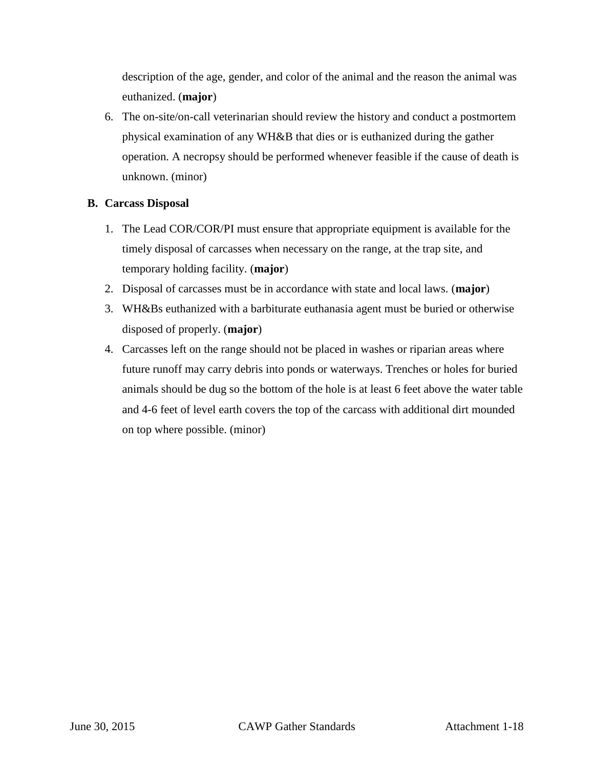description of the age, gender, and color of the animal and the reason the animal was euthanized. (**major**)

 6. The on-site/on-call veterinarian should review the history and conduct a postmortem physical examination of any WH&B that dies or is euthanized during the gather operation. A necropsy should be performed whenever feasible if the cause of death is unknown. (minor)

## **B. Carcass Disposal**

- 1. The Lead COR/COR/PI must ensure that appropriate equipment is available for the timely disposal of carcasses when necessary on the range, at the trap site, and temporary holding facility. (**major**)
- 2. Disposal of carcasses must be in accordance with state and local laws. (**major**)
- 3. WH&Bs euthanized with a barbiturate euthanasia agent must be buried or otherwise disposed of properly. (**major**)
- and 4-6 feet of level earth covers the top of the carcass with additional dirt mounded on top where possible. (minor) 4. Carcasses left on the range should not be placed in washes or riparian areas where future runoff may carry debris into ponds or waterways. Trenches or holes for buried animals should be dug so the bottom of the hole is at least 6 feet above the water table on top where possible. (minor) June 30, 2015 CAWP Gather Standards Attachment 1-18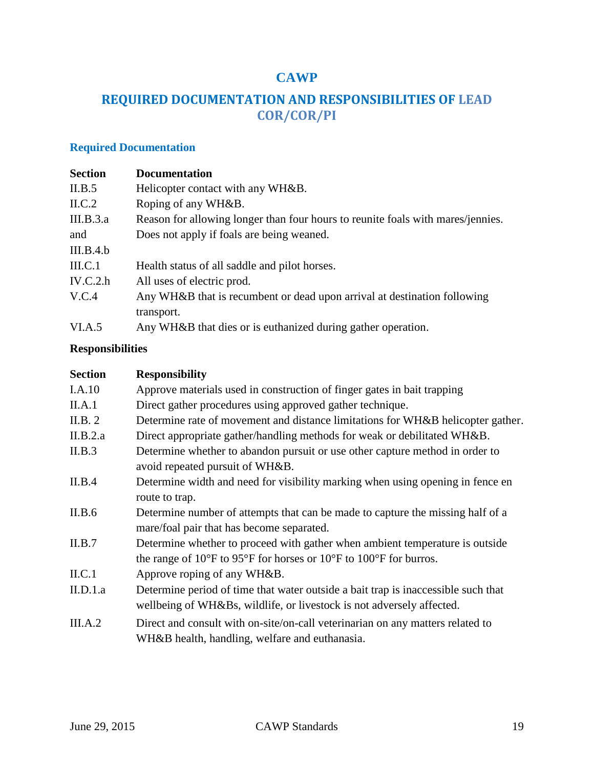## **CAWP**

## **REQUIRED DOCUMENTATION AND RESPONSIBILITIES OF LEAD COR/COR/PI**

| <b>Required Documentation</b> |                                                                                 |  |  |
|-------------------------------|---------------------------------------------------------------------------------|--|--|
| <b>Section</b>                | <b>Documentation</b>                                                            |  |  |
| II.B.5                        | Helicopter contact with any WH&B.                                               |  |  |
| ILC.2                         | Roping of any WH&B.                                                             |  |  |
| III.B.3.a                     | Reason for allowing longer than four hours to reunite foals with mares/jennies. |  |  |
| and                           | Does not apply if foals are being weaned.                                       |  |  |
| III.B.4.b                     |                                                                                 |  |  |
| $\text{III.C.1}$              | Health status of all saddle and pilot horses.                                   |  |  |
| IV.C.2.h                      | All uses of electric prod.                                                      |  |  |
| V.C.4                         | Any WH&B that is recumbent or dead upon arrival at destination following        |  |  |
|                               | transport.                                                                      |  |  |
| VI.A.5                        | Any WH&B that dies or is euthanized during gather operation.                    |  |  |

## **Responsibilities**

| <b>Section</b> | <b>Responsibility</b>                                                                           |
|----------------|-------------------------------------------------------------------------------------------------|
| I.A.10         | Approve materials used in construction of finger gates in bait trapping                         |
| II.A.1         | Direct gather procedures using approved gather technique.                                       |
| II.B. 2        | Determine rate of movement and distance limitations for WH&B helicopter gather.                 |
| II.B.2.a       | Direct appropriate gather/handling methods for weak or debilitated WH&B.                        |
| II.B.3         | Determine whether to abandon pursuit or use other capture method in order to                    |
|                | avoid repeated pursuit of WH&B.                                                                 |
| II.B.4         | Determine width and need for visibility marking when using opening in fence en                  |
|                | route to trap.                                                                                  |
| II.B.6         | Determine number of attempts that can be made to capture the missing half of a                  |
|                | mare/foal pair that has become separated.                                                       |
| II.B.7         | Determine whether to proceed with gather when ambient temperature is outside                    |
|                | the range of $10^{\circ}$ F to 95°F for horses or $10^{\circ}$ F to $100^{\circ}$ F for burros. |
| ILC.1          | Approve roping of any WH&B.                                                                     |
| II.D.1.a       | Determine period of time that water outside a bait trap is inaccessible such that               |
|                | wellbeing of WH&Bs, wildlife, or livestock is not adversely affected.                           |
| III.A.2        | Direct and consult with on-site/on-call veterinarian on any matters related to                  |
|                | WH&B health, handling, welfare and euthanasia.                                                  |